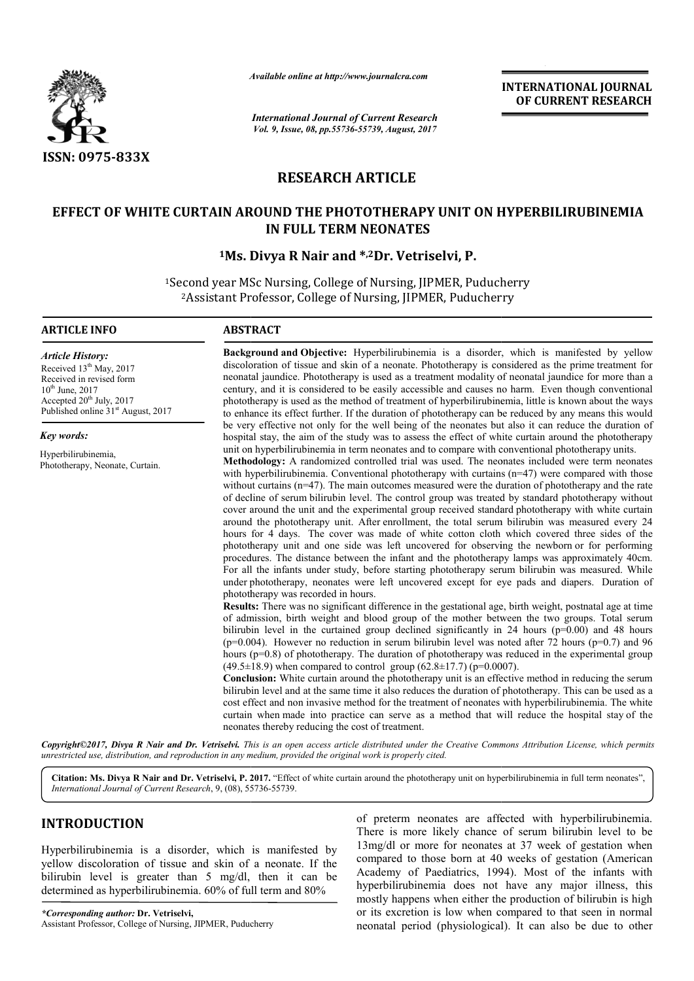

*Available online at http://www.journal http://www.journalcra.com*

*International Journal of Current Research Vol. 9, Issue, 08, pp.55736-55739, August, 2017* **INTERNATIONAL JOURNAL OF CURRENT RESEARCH** 

# **RESEARCH ARTICLE**

# **EFFECT OF WHITE CURTAIN AROUND THE PHOTOTHERAPY UNIT ON HYPERBILIRUBINEMIA WHITE CURTAIN AROUND THE IN FULL TERM NEONATES**

# **1Ms. Divya R Nair Ms. and \*,2Dr. Vetriselvi, P.**

<sup>1</sup>Second year MSc Nursing, College of Nursing, JIPMER, Puducherry cond year MSc Nursing, College of Nursing, JIPMER, Puducherry<br>2Assistant Professor, College of Nursing, JIPMER, Puducherry

#### **ARTICLE INFO ABSTRACT**

*Article History:* Received 13<sup>th</sup> May, 2017 Received in revised form 10<sup>th</sup> June, 2017 Accepted 20<sup>th</sup> July, 2017 Published online 31<sup>st</sup> August, 2017

*Key words:*

Hyperbilirubinemia, Phototherapy, Neonate, Curtain.

**Background and Objective:** Hyperbilirubinemia is a disorder, which is manifested by yellow **Background and Objective:** Hyperbilirubinemia is a disorder, which is manifested by yellow discoloration of tissue and skin of a neonate. Phototherapy is considered as the prime treatment for neonatal jaundice. Phototherapy is used as a treatment modality of neonatal jaundice for more than a neonatal jaundice. Phototherapy is used as a treatment modality of neonatal jaundice for more than a century, and it is considered to be easily accessible and causes no harm. Even though conventional phototherapy is used as the method of treatment of hyperbilirubinemia, little is known about the ways to enhance its effect further. If the duration of phototherapy can be reduced by any means this would be very effective not only for the well being of the neonates but also it can reduce the duration of to enhance its effect further. If the duration of phototherapy can be reduced by any means this would<br>be very effective not only for the well being of the neonates but also it can reduce the duration of<br>hospital stay, the unit on hyperbilirubinemia in term neonates and to compare with conventional phototherapy units.

**Methodology Methodology:** A randomized controlled trial was used. The neonates included were term neonates with hyperbilirubinemia. Conventional phototherapy with curtains  $(n=47)$  were compared with those without curtains (n=47). The main outcomes measured were the duration of phototherapy and the rate of decline of serum bilirubin level. The control group was treated by standard phototherapy without cover around the unit and the experimental group received standard around the phototherapy unit. After enrollment, the total serum bilirubin was measured every 24 around the phototherapy unit. After enrollment, the total serum bilirubin was measured every 24 hours for 4 days. The cover was made of white cotton cloth which covered three sides of the phototherapy unit and one side was left uncovered for observing the newborn or for performing phototherapy unit and one side was left uncovered for observing the newborn or for performing<br>procedures. The distance between the infant and the phototherapy lamps was approximately 40cm. procedures. The distance between the infant and the phototherapy lamps was approximately 40cm.<br>For all the infants under study, before starting phototherapy serum bilirubin was measured. While under phototherapy, neonates were left uncovered except for eye pads and diapers. Duration of phototherapy was recorded in hours. unit on hyperbilirubinemia in term neonates and to compare with conventional phototherapy units.<br>**Methodology:** A randomized controlled trial was used. The neonates included were term neonates<br>with hyperbilirubinemia. Conv utcomes measured were the duration of phototherapy and the rate<br>The control group was treated by standard phototherapy without<br>imental group received standard phototherapy with white curtain **ITIONAL JOURNAL**<br> **RRENT RESEARCH**<br> **RRENT RESEARCH**<br> **RRENT RESEARCH**<br> **INSTEMT RESEARCH**<br> **INSTEMT ASSEARCH**<br> **INSTEMT ASSEARCH**<br> **ITELAT CONTIFY TO TEXT AND**<br>
IS shown about the ways any small is would a reduce the du

**Results:** There was no significant difference in the gestational age, birth weight, postnatal age at time of admission, birth weight and blood group of the mother between the two groups. Total serum bilirubin level in the curtained group declined significantly in 24 hours  $(p=0.00)$  and 48 hours  $(p=0.004)$ . However no reduction in serum bilirubin level was noted after 72 hours  $(p=0.7)$  and 96 hours (p=0.8) of phototherapy. The duration of phototherapy was reduced in the  $(49.5 \pm 18.9)$  when compared to control group  $(62.8 \pm 17.7)$  (p=0.0007). of admission, birth weight and blood group of the mother between the two groups. Total serum<br>bilirubin level in the curtained group declined significantly in 24 hours (p=0.00) and 48 hours<br>(p=0.004). However no reduction

**Conclusion:** White curtain around the phototherapy unit is an effective method in reducing the serum bilirubin level and at the same time it also reduces the duration of phototherapy. This can be used as a cost effect and non invasive method for the treatment of neonates with hyperbilirubinemia. The white bilirubin level and at the same time it also reduces the duration of phototherapy. This can be used as a cost effect and non invasive method for the treatment of neonates with hyperbilirubinemia. The white curtain when mad neonates thereby reducing the cost of treatment.

*Copyright©2017, Divya R Nair and Dr. Vetriselvi. This is an open access article distributed under the Creative Commons Att Attribution License, which permits unrestricted use, distribution, and reproduction in any medium, provided the original work is properly cited.*

Citation: Ms. Divya R Nair and Dr. Vetriselvi, P. 2017. "Effect of white curtain around the phototherapy unit on hyperbilirubinemia in full term neonates", *International Journal of Current Research*, 9, (08), 55 55736-55739.

# **INTRODUCTION**

Hyperbilirubinemia is a disorder, which is manifested by yellow discoloration of tissue and skin of a neonate. If the bilirubin level is greater than 5 mg/dl, then it can be determined as hyperbilirubinemia. 60% of full term and 80%

of preterm neonates are affected with hyperbilirubinemia. hyperbilirubinemia. There is more likely chance of serum bilirubin level to be 13mg/dl or more for neonates at 37 week of gestation when 13mg/dl or more for neonates at 37 week of gestation when compared to those born at 40 weeks of gestation (American Academy of Paediatrics, 1994) 1994). Most of the infants with hyperbilirubinemia does not have any major illness, this hyperbilirubinemia does not have any major illness, this mostly happens when either the production of bilirubin is high or its excretion is low when compared to that seen in normal neonatal period (physiological). It can also be due to other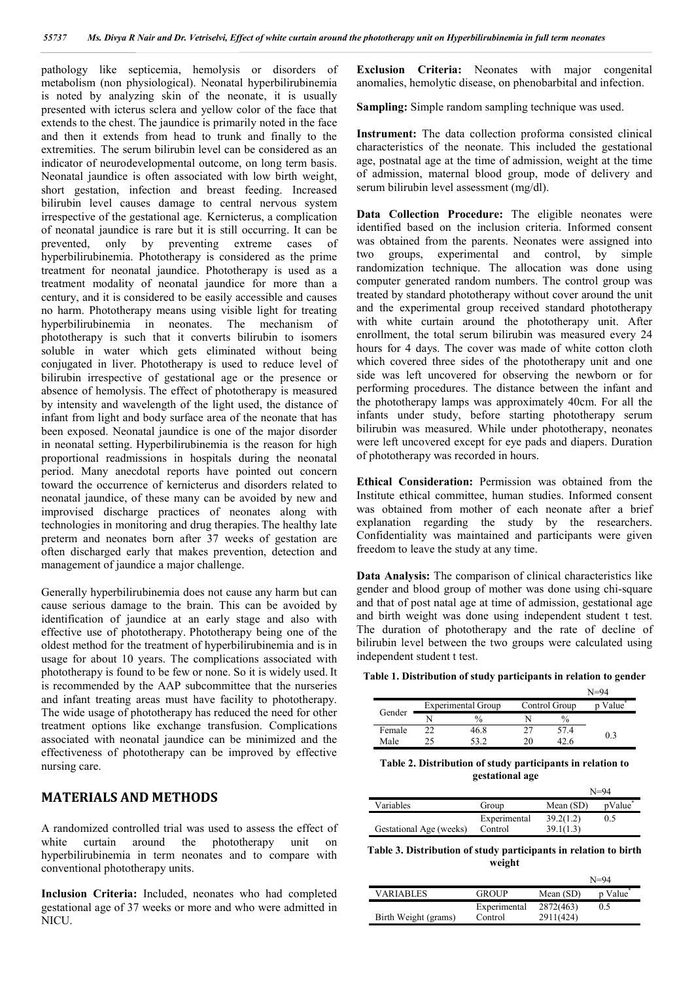pathology like septicemia, hemolysis or disorders of metabolism (non physiological). Neonatal hyperbilirubinemia is noted by analyzing skin of the neonate, it is usually presented with icterus sclera and yellow color of the face that extends to the chest. The jaundice is primarily noted in the face and then it extends from head to trunk and finally to the extremities. The serum bilirubin level can be considered as an indicator of neurodevelopmental outcome, on long term basis. Neonatal jaundice is often associated with low birth weight, short gestation, infection and breast feeding. Increased bilirubin level causes damage to central nervous system irrespective of the gestational age. Kernicterus, a complication of neonatal jaundice is rare but it is still occurring. It can be prevented, only by preventing extreme cases of hyperbilirubinemia. Phototherapy is considered as the prime treatment for neonatal jaundice. Phototherapy is used as a treatment modality of neonatal jaundice for more than a century, and it is considered to be easily accessible and causes no harm. Phototherapy means using visible light for treating hyperbilirubinemia in neonates. The mechanism of phototherapy is such that it converts bilirubin to isomers soluble in water which gets eliminated without being conjugated in liver. Phototherapy is used to reduce level of bilirubin irrespective of gestational age or the presence or absence of hemolysis. The effect of phototherapy is measured by intensity and wavelength of the light used, the distance of infant from light and body surface area of the neonate that has been exposed. Neonatal jaundice is one of the major disorder in neonatal setting. Hyperbilirubinemia is the reason for high proportional readmissions in hospitals during the neonatal period. Many anecdotal reports have pointed out concern toward the occurrence of kernicterus and disorders related to neonatal jaundice, of these many can be avoided by new and improvised discharge practices of neonates along with technologies in monitoring and drug therapies. The healthy late preterm and neonates born after 37 weeks of gestation are often discharged early that makes prevention, detection and management of jaundice a major challenge.

Generally hyperbilirubinemia does not cause any harm but can cause serious damage to the brain. This can be avoided by identification of jaundice at an early stage and also with effective use of phototherapy. Phototherapy being one of the oldest method for the treatment of hyperbilirubinemia and is in usage for about 10 years. The complications associated with phototherapy is found to be few or none. So it is widely used. It is recommended by the AAP subcommittee that the nurseries and infant treating areas must have facility to phototherapy. The wide usage of phototherapy has reduced the need for other treatment options like exchange transfusion. Complications associated with neonatal jaundice can be minimized and the effectiveness of phototherapy can be improved by effective nursing care.

## **MATERIALS AND METHODS**

A randomized controlled trial was used to assess the effect of white curtain around the phototherapy unit on hyperbilirubinemia in term neonates and to compare with conventional phototherapy units.

**Inclusion Criteria:** Included, neonates who had completed gestational age of 37 weeks or more and who were admitted in NICU.

**Exclusion Criteria:** Neonates with major congenital anomalies, hemolytic disease, on phenobarbital and infection.

**Sampling:** Simple random sampling technique was used.

**Instrument:** The data collection proforma consisted clinical characteristics of the neonate. This included the gestational age, postnatal age at the time of admission, weight at the time of admission, maternal blood group, mode of delivery and serum bilirubin level assessment (mg/dl).

Data Collection Procedure: The eligible neonates were identified based on the inclusion criteria. Informed consent was obtained from the parents. Neonates were assigned into two groups, experimental and control, by simple randomization technique. The allocation was done using computer generated random numbers. The control group was treated by standard phototherapy without cover around the unit and the experimental group received standard phototherapy with white curtain around the phototherapy unit. After enrollment, the total serum bilirubin was measured every 24 hours for 4 days. The cover was made of white cotton cloth which covered three sides of the phototherapy unit and one side was left uncovered for observing the newborn or for performing procedures. The distance between the infant and the phototherapy lamps was approximately 40cm. For all the infants under study, before starting phototherapy serum bilirubin was measured. While under phototherapy, neonates were left uncovered except for eye pads and diapers. Duration of phototherapy was recorded in hours.

**Ethical Consideration:** Permission was obtained from the Institute ethical committee, human studies. Informed consent was obtained from mother of each neonate after a brief explanation regarding the study by the researchers. Confidentiality was maintained and participants were given freedom to leave the study at any time.

**Data Analysis:** The comparison of clinical characteristics like gender and blood group of mother was done using chi-square and that of post natal age at time of admission, gestational age and birth weight was done using independent student t test. The duration of phototherapy and the rate of decline of bilirubin level between the two groups were calculated using independent student t test.

| Table 1. Distribution of study participants in relation to gender |  |
|-------------------------------------------------------------------|--|
|-------------------------------------------------------------------|--|

|        |                    |    |               | $N = 94$           |
|--------|--------------------|----|---------------|--------------------|
| Gender | Experimental Group |    | Control Group | Value <sup>*</sup> |
|        | $\frac{0}{2}$      |    | $\frac{0}{0}$ |                    |
| Female | 46.8               |    | 57.4          |                    |
| Male   |                    | 20 | 42.6          | 0.3                |

**Table 2. Distribution of study participants in relation to gestational age**

|                         |              |             | $N = 94$       |
|-------------------------|--------------|-------------|----------------|
| Variables               | Group        | Mean $(SD)$ | <i>p</i> Value |
|                         | Experimental | 39.2(1.2)   | 0.5            |
| Gestational Age (weeks) | Control      | 39.1(1.3)   |                |

**Table 3. Distribution of study participants in relation to birth weight**

|                      |              |             | N=94                 |
|----------------------|--------------|-------------|----------------------|
| <b>VARIABLES</b>     | <b>GROUP</b> | Mean $(SD)$ | p Value <sup>®</sup> |
|                      | Experimental | 2872(463)   | 0.5                  |
| Birth Weight (grams) | Control      | 2911(424)   |                      |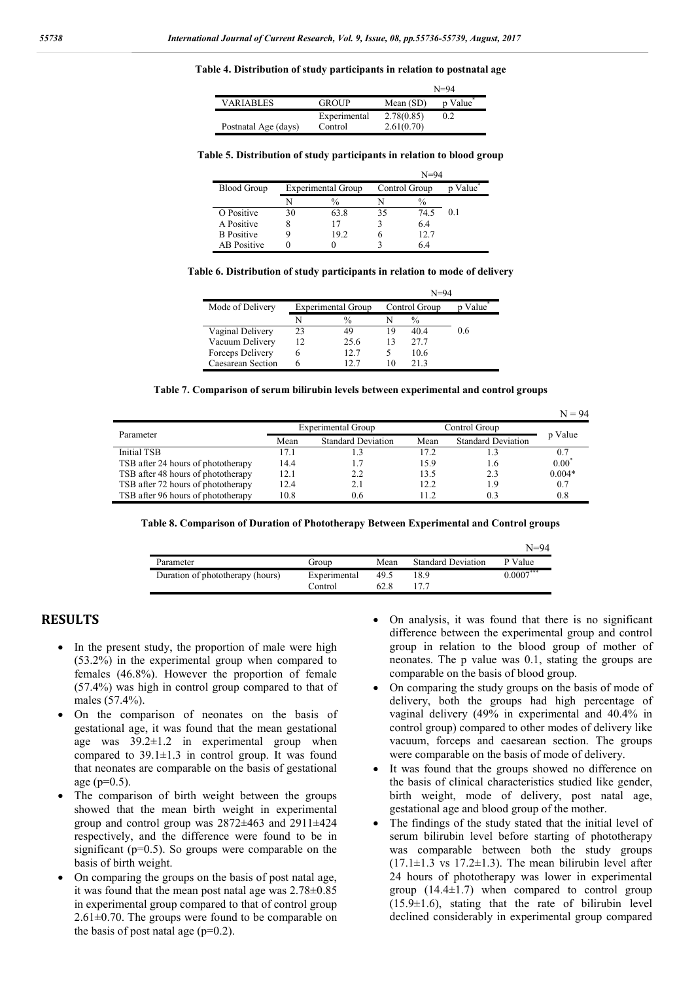#### **Table 4. Distribution of study participants in relation to postnatal age**

|                      |              |             | $N = 94$ |
|----------------------|--------------|-------------|----------|
| <b>VARIABLES</b>     | <b>GROUP</b> | Mean $(SD)$ | p Value  |
|                      | Experimental | 2.78(0.85)  | 0.2      |
| Postnatal Age (days) | Control      | 2.61(0.70)  |          |

#### **Table 5. Distribution of study participants in relation to blood group**

|                    | $N = 94$ |                           |               |      |         |
|--------------------|----------|---------------------------|---------------|------|---------|
| <b>Blood Group</b> |          | <b>Experimental Group</b> | Control Group |      | p Value |
|                    | N        | $\%$                      |               | $\%$ |         |
| O Positive         | 30       | 63.8                      | 35            | 74.5 | 0.1     |
| A Positive         | 8        | 17                        |               | 6.4  |         |
| <b>B</b> Positive  |          | 19.2                      |               | 12.7 |         |
| <b>AB</b> Positive |          |                           |               | 6.4  |         |

| Table 6. Distribution of study participants in relation to mode of delivery |  |  |  |
|-----------------------------------------------------------------------------|--|--|--|
|                                                                             |  |  |  |

|                   |    |                    |    | $N = 94$      |       |  |
|-------------------|----|--------------------|----|---------------|-------|--|
| Mode of Delivery  |    | Experimental Group |    | Control Group | Value |  |
|                   |    | $\%$               |    | $\%$          |       |  |
| Vaginal Delivery  | 23 | 49                 | 19 | 40.4          | 0.6   |  |
| Vacuum Delivery   | 12 | 25.6               |    | 27.7          |       |  |
| Forceps Delivery  |    | 12.7               |    | 10.6          |       |  |
| Caesarean Section |    | 12.7               | 10 | 213           |       |  |

#### **Table 7. Comparison of serum bilirubin levels between experimental and control groups**

|                                    |      |                           |      |                           | $N = 94$       |
|------------------------------------|------|---------------------------|------|---------------------------|----------------|
|                                    |      | <b>Experimental Group</b> |      | Control Group             |                |
| Parameter                          | Mean | <b>Standard Deviation</b> | Mean | <b>Standard Deviation</b> | p Value        |
| Initial TSB                        | 17.1 |                           | 17.2 |                           |                |
| TSB after 24 hours of phototherapy | 14.4 |                           | 15.9 | l.6                       | $0.00^{\circ}$ |
| TSB after 48 hours of phototherapy | 12.1 | 2.2                       | 13.5 | 23                        | $0.004*$       |
| TSB after 72 hours of phototherapy | 12.4 | 2.1                       | 12.2 | -9                        | 0.7            |
| TSB after 96 hours of phototherapy | 10.8 | 0.6                       | 11.2 | 0.3                       | 0.8            |

|  |  |  | Table 8. Comparison of Duration of Phototherapy Between Experimental and Control groups |
|--|--|--|-----------------------------------------------------------------------------------------|
|  |  |  |                                                                                         |

|                                  |              |      |                           | $N = 94$    |
|----------------------------------|--------------|------|---------------------------|-------------|
| Parameter                        | Group        | Mean | <b>Standard Deviation</b> | P Value     |
| Duration of phototherapy (hours) | Experimental | 49.5 | 18.9                      | $0.0007***$ |
|                                  | Control      | 62.8 | 177                       |             |

## **RESULTS**

- In the present study, the proportion of male were high (53.2%) in the experimental group when compared to females (46.8%). However the proportion of female (57.4%) was high in control group compared to that of males (57.4%).
- On the comparison of neonates on the basis of gestational age, it was found that the mean gestational age was 39.2±1.2 in experimental group when compared to  $39.1 \pm 1.3$  in control group. It was found that neonates are comparable on the basis of gestational age ( $p=0.5$ ).
- The comparison of birth weight between the groups showed that the mean birth weight in experimental group and control group was 2872±463 and 2911±424 respectively, and the difference were found to be in significant  $(p=0.5)$ . So groups were comparable on the basis of birth weight.
- On comparing the groups on the basis of post natal age, it was found that the mean post natal age was 2.78±0.85 in experimental group compared to that of control group  $2.61\pm0.70$ . The groups were found to be comparable on the basis of post natal age  $(p=0.2)$ .
- On analysis, it was found that there is no significant difference between the experimental group and control group in relation to the blood group of mother of neonates. The p value was 0.1, stating the groups are comparable on the basis of blood group.
- On comparing the study groups on the basis of mode of delivery, both the groups had high percentage of vaginal delivery (49% in experimental and 40.4% in control group) compared to other modes of delivery like vacuum, forceps and caesarean section. The groups were comparable on the basis of mode of delivery.
- It was found that the groups showed no difference on the basis of clinical characteristics studied like gender, birth weight, mode of delivery, post natal age, gestational age and blood group of the mother.
- The findings of the study stated that the initial level of serum bilirubin level before starting of phototherapy was comparable between both the study groups  $(17.1\pm1.3 \text{ vs } 17.2\pm1.3)$ . The mean bilirubin level after 24 hours of phototherapy was lower in experimental group  $(14.4 \pm 1.7)$  when compared to control group  $(15.9\pm1.6)$ , stating that the rate of bilirubin level declined considerably in experimental group compared